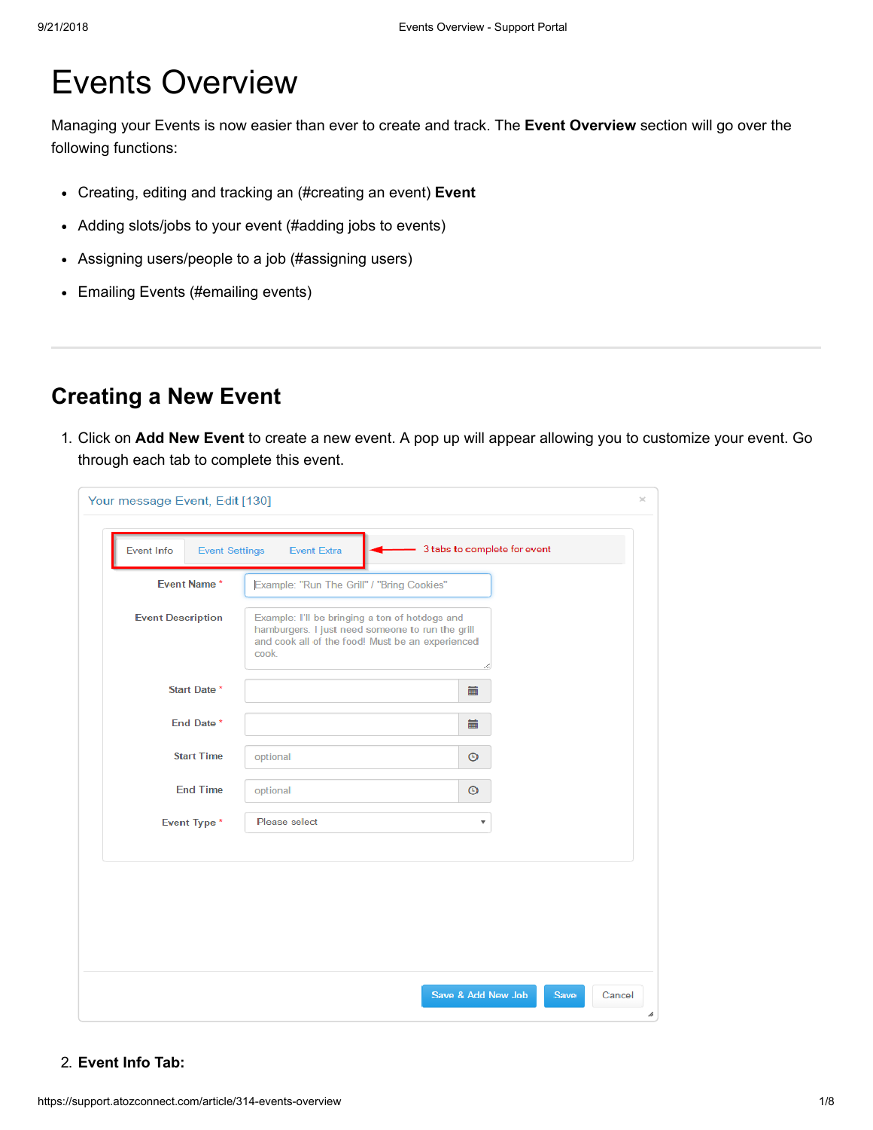# Events Overview

Managing your Events is now easier than ever to create and track. The **Event Overview** section will go over the following functions:

- Creating, editing and tracking an (#creating an event) **Event**
- Adding slots/jobs to your event (#adding jobs to events)
- Assigning users/people to a job (#assigning users)
- Emailing Events (#emailing events)

# **Creating a New Event**

1. Click on **Add New Event** to create a new event. A pop up will appear allowing you to customize your event. Go through each tab to complete this event.

### 2. **Event Info Tab:**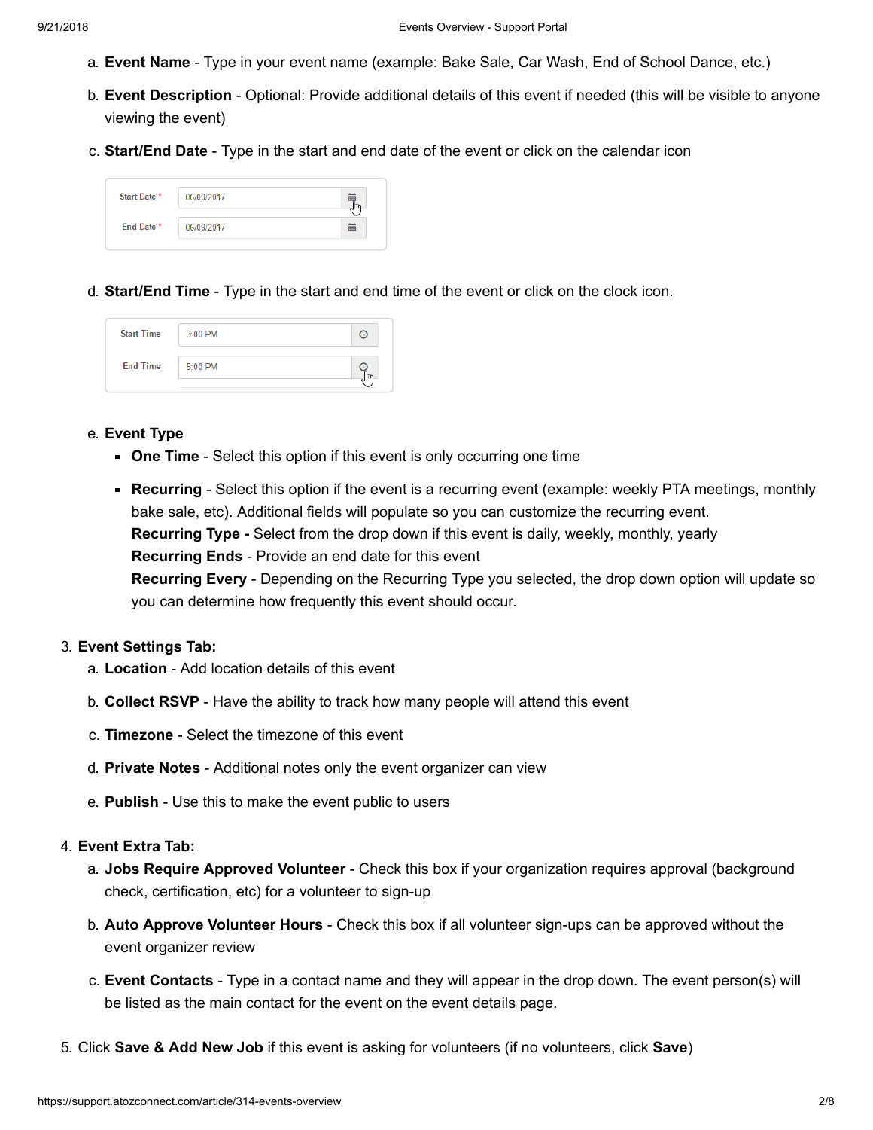- a. **Event Name** Type in your event name (example: Bake Sale, Car Wash, End of School Dance, etc.)
- b. **Event Description** Optional: Provide additional details of this event if needed (this will be visible to anyone viewing the event)
- c. **Start/End Date** Type in the start and end date of the event or click on the calendar icon

| Start Date * | 06/09/2017 |  |
|--------------|------------|--|
| End Date *   | 06/09/2017 |  |
|              |            |  |

d. **Start/End Time** - Type in the start and end time of the event or click on the clock icon.

| <b>Start Time</b> | 3:00 PM |  |
|-------------------|---------|--|
| <b>End Time</b>   | 5:00 PM |  |

### e. **Event Type**

- **One Time** Select this option if this event is only occurring one time
- **Recurring** Select this option if the event is a recurring event (example: weekly PTA meetings, monthly bake sale, etc). Additional fields will populate so you can customize the recurring event. **Recurring Type -** Select from the drop down if this event is daily, weekly, monthly, yearly **Recurring Ends** - Provide an end date for this event **Recurring Every** - Depending on the Recurring Type you selected, the drop down option will update so you can determine how frequently this event should occur.

### 3. **Event Settings Tab:**

- a. **Location**  Add location details of this event
- b. **Collect RSVP** Have the ability to track how many people will attend this event
- c. **Timezone**  Select the timezone of this event
- d. **Private Notes** Additional notes only the event organizer can view
- e. **Publish**  Use this to make the event public to users

### 4. **Event Extra Tab:**

- a. **Jobs Require Approved Volunteer** Check this box if your organization requires approval (background check, certification, etc) for a volunteer to sign-up
- b. **Auto Approve Volunteer Hours** Check this box if all volunteer sign-ups can be approved without the event organizer review
- c. **Event Contacts** Type in a contact name and they will appear in the drop down. The event person(s) will be listed as the main contact for the event on the event details page.
- 5. Click **Save & Add New Job** if this event is asking for volunteers (if no volunteers, click **Save**)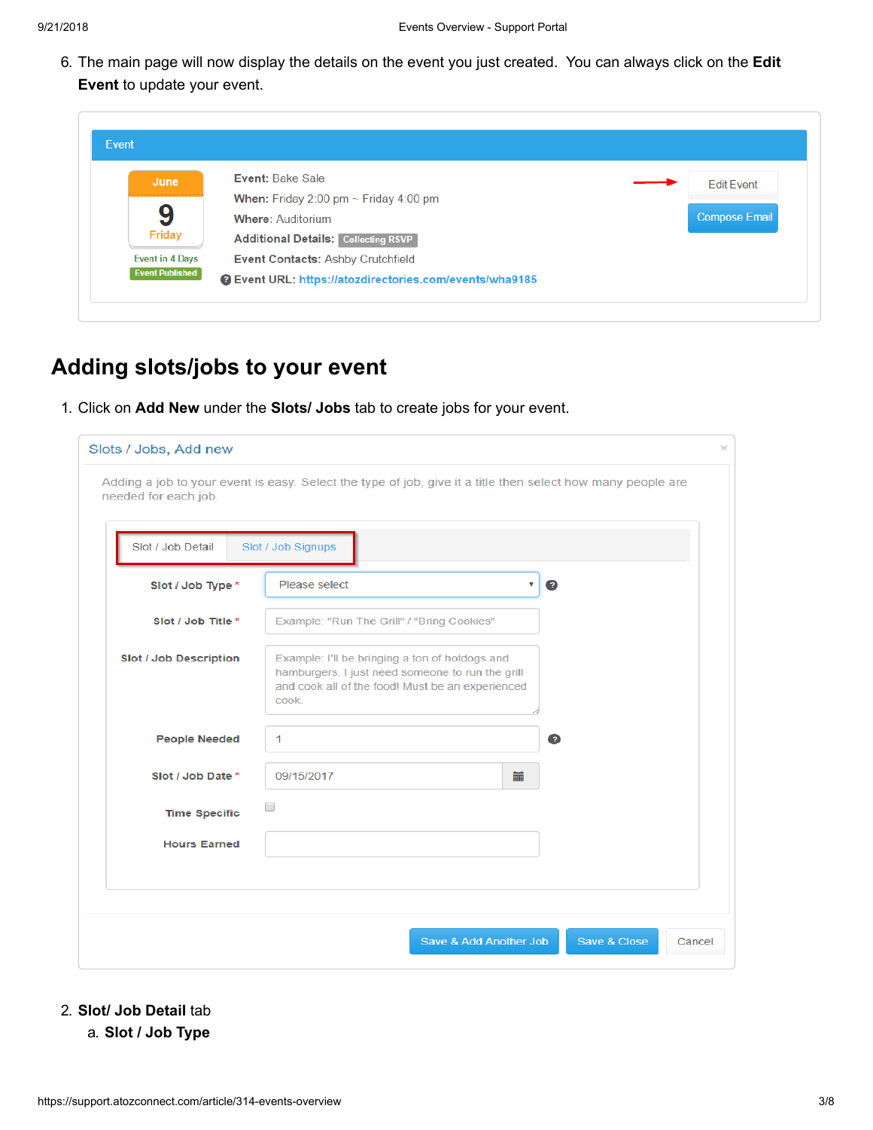6. The main page will now display the details on the event you just created. You can always click on the **Edit Event** to update your event.

|                        | Event: Bake Sale                                               |                      |
|------------------------|----------------------------------------------------------------|----------------------|
| June                   |                                                                | <b>Edit Event</b>    |
|                        | <b>When:</b> Friday 2:00 pm $\sim$ Friday 4:00 pm              |                      |
| 9                      | <b>Where: Auditorium</b>                                       | <b>Compose Email</b> |
| Friday                 | <b>Additional Details: Collecting RSVP</b>                     |                      |
| <b>Event in 4 Days</b> | <b>Event Contacts: Ashby Crutchfield</b>                       |                      |
| <b>Event Published</b> | <b>@ Event URL: https://atozdirectories.com/events/wha9185</b> |                      |

# **Adding slots/jobs to your event**

1. Click on **Add New** under the **Slots/ Jobs** tab to create jobs for your event.

| Slots / Jobs, Add new  |                                                                                                                                                                 | $\asymp$ |
|------------------------|-----------------------------------------------------------------------------------------------------------------------------------------------------------------|----------|
| needed for each job.   | Adding a job to your event is easy. Select the type of job, give it a title then select how many people are                                                     |          |
| Slot / Job Detail      | Slot / Job Signups                                                                                                                                              |          |
| Slot / Job Type *      | Please select<br>$\overline{\mathbf{v}}$<br>ø                                                                                                                   |          |
| Slot / Job Title *     | Example: "Run The Grill" / "Bring Cookies"                                                                                                                      |          |
| Slot / Job Description | Example: I'll be bringing a ton of hotdogs and<br>hamburgers. I just need someone to run the grill<br>and cook all of the food! Must be an experienced<br>cook. |          |
| <b>People Needed</b>   | $\mathbf{1}$<br>$\bullet$                                                                                                                                       |          |
| Slot / Job Date *      | 臝<br>09/15/2017                                                                                                                                                 |          |
| <b>Time Specific</b>   | □                                                                                                                                                               |          |
| <b>Hours Earned</b>    |                                                                                                                                                                 |          |
|                        |                                                                                                                                                                 |          |
|                        | Save & Add Another Job<br>Save & Close<br>Cancel                                                                                                                |          |

# 2. **Slot/ Job Detail** tab

a. **Slot / Job Type**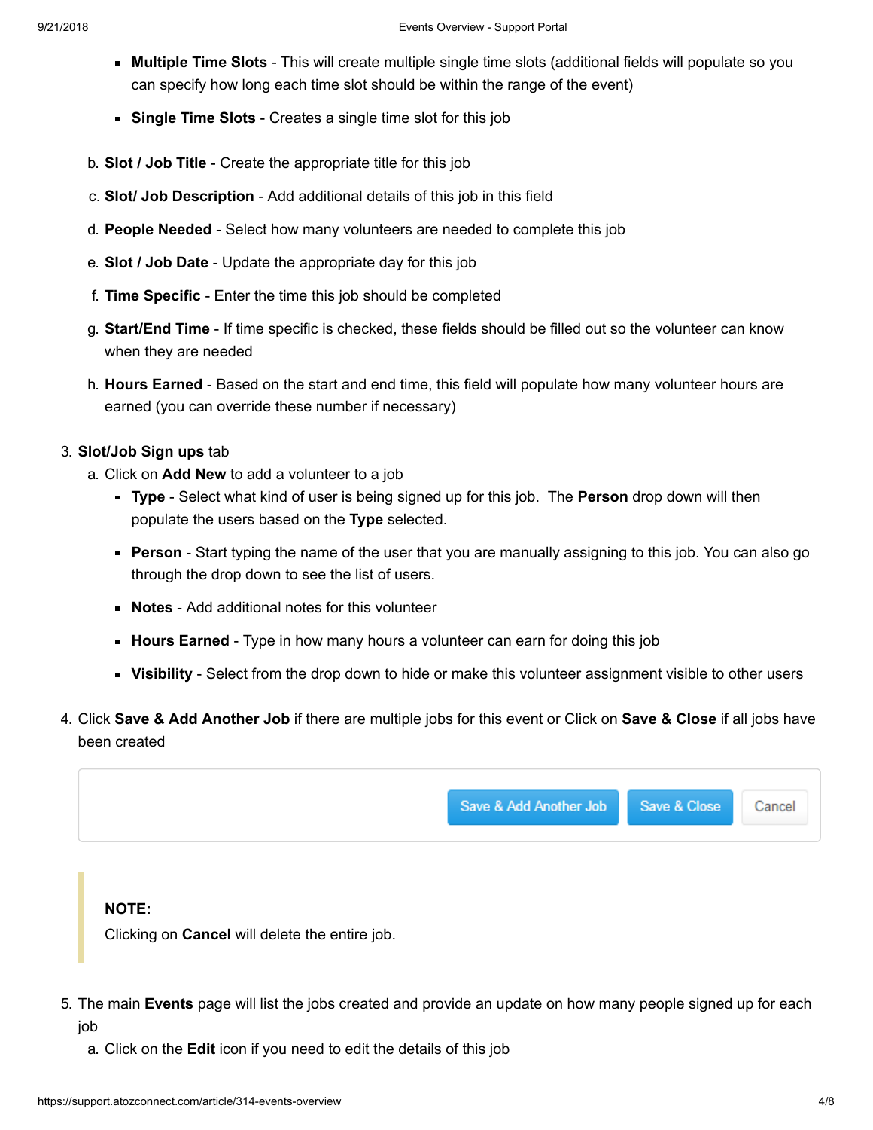- **Multiple Time Slots** This will create multiple single time slots (additional fields will populate so you can specify how long each time slot should be within the range of the event)
- **Single Time Slots** Creates a single time slot for this job
- b. **Slot / Job Title** Create the appropriate title for this job
- c. **Slot/ Job Description** Add additional details of this job in this field
- d. **People Needed** Select how many volunteers are needed to complete this job
- e. **Slot / Job Date** Update the appropriate day for this job
- f. **Time Specific** Enter the time this job should be completed
- g. **Start/End Time** If time specific is checked, these fields should be filled out so the volunteer can know when they are needed
- h. **Hours Earned** Based on the start and end time, this field will populate how many volunteer hours are earned (you can override these number if necessary)
- 3. **Slot/Job Sign ups** tab
	- a. Click on **Add New** to add a volunteer to a job
		- **Type**  Select what kind of user is being signed up for this job. The **Person** drop down will then populate the users based on the **Type** selected.
		- **Person**  Start typing the name of the user that you are manually assigning to this job. You can also go through the drop down to see the list of users.
		- **Notes**  Add additional notes for this volunteer
		- **Hours Earned** Type in how many hours a volunteer can earn for doing this job
		- **Visibility**  Select from the drop down to hide or make this volunteer assignment visible to other users
- 4. Click **Save & Add Another Job** if there are multiple jobs for this event or Click on **Save & Close** if all jobs have been created



### **NOTE:**

Clicking on **Cancel** will delete the entire job.

- 5. The main **Events** page will list the jobs created and provide an update on how many people signed up for each job
	- a. Click on the **Edit** icon if you need to edit the details of this job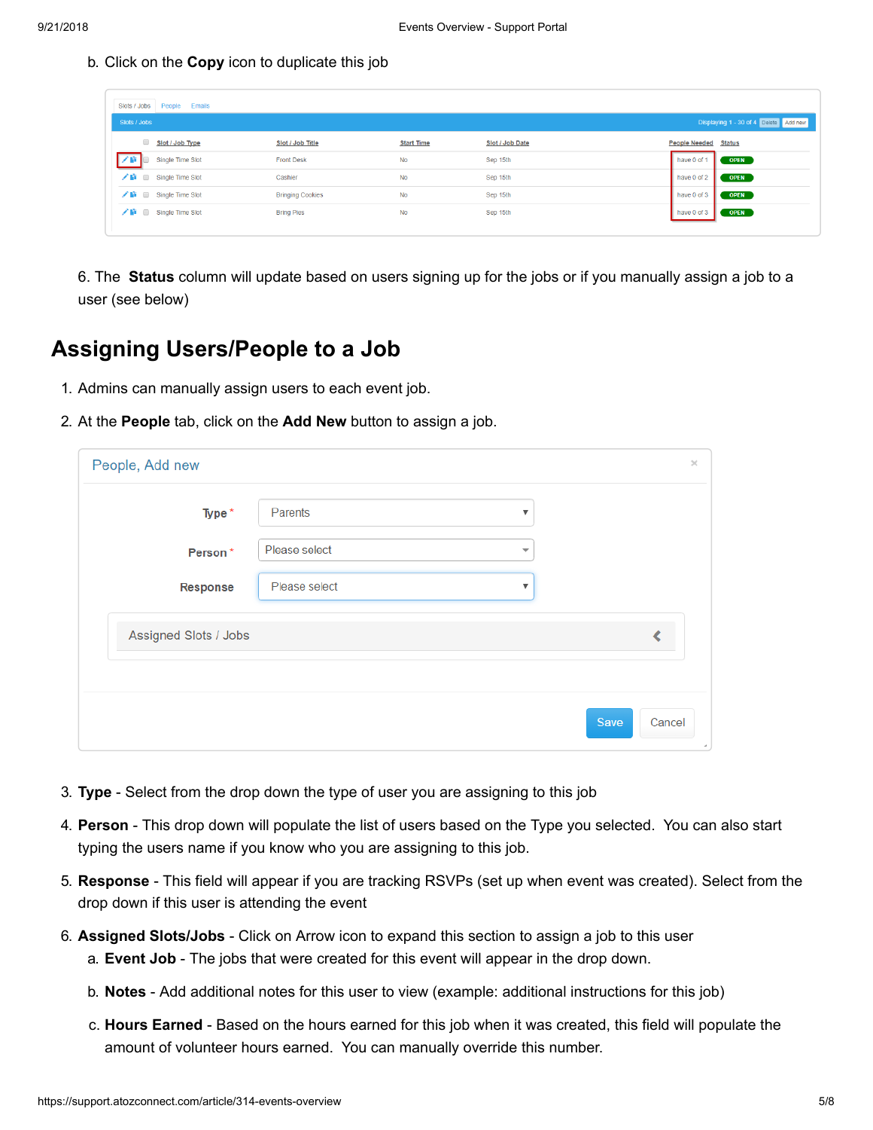b. Click on the **Copy** icon to duplicate this job

| Slots / Jobs   People Emails                          |                         |                   |                 |                             |  |
|-------------------------------------------------------|-------------------------|-------------------|-----------------|-----------------------------|--|
| Displaying 1 - 30 of 4 Delete Add new<br>Slots / Jobs |                         |                   |                 |                             |  |
| Slot / Job Type                                       | Slot / Job Title        | <b>Start Time</b> | Slot / Job Date | <b>People Needed Status</b> |  |
| Single Time Slot                                      | <b>Front Desk</b>       | <b>No</b>         | Sep 15th        | <b>OPEN</b><br>have 0 of 1  |  |
| / ■ Single Time Slot                                  | Cashier                 | <b>No</b>         | Sep 15th        | <b>OPEN</b><br>have 0 of 2  |  |
| / m = Single Time Slot                                | <b>Bringing Cookies</b> | <b>No</b>         | Sep 15th        | <b>OPEN</b><br>have 0 of 3  |  |
| $\angle$ <b>Ni</b> $\Box$ Single Time Slot            | <b>Bring Pies</b>       | <b>No</b>         | Sep 15th        | <b>OPEN</b><br>have 0 of 3  |  |
|                                                       |                         |                   |                 |                             |  |

6. The **Status** column will update based on users signing up for the jobs or if you manually assign a job to a user (see below)

### **Assigning Users/People to a Job**

- 1. Admins can manually assign users to each event job.
- 2. At the **People** tab, click on the **Add New** button to assign a job.

| People, Add new       |                                          |                | $\mathcal{N}_\mathrm{c}$ |
|-----------------------|------------------------------------------|----------------|--------------------------|
| Type *                | Parents<br>$\boldsymbol{\mathrm{v}}$     |                |                          |
| Person*               | Please select<br>$\overline{\mathbf{v}}$ |                |                          |
| <b>Response</b>       | Please select<br>$\overline{\mathbf{v}}$ |                |                          |
| Assigned Slots / Jobs |                                          |                |                          |
|                       |                                          |                |                          |
|                       |                                          | Save<br>Cancel | A.                       |

- 3. **Type**  Select from the drop down the type of user you are assigning to this job
- 4. **Person**  This drop down will populate the list of users based on the Type you selected. You can also start typing the users name if you know who you are assigning to this job.
- 5. **Response**  This field will appear if you are tracking RSVPs (set up when event was created). Select from the drop down if this user is attending the event
- 6. **Assigned Slots/Jobs** Click on Arrow icon to expand this section to assign a job to this user a. **Event Job** - The jobs that were created for this event will appear in the drop down.
	- b. **Notes**  Add additional notes for this user to view (example: additional instructions for this job)
	- c. **Hours Earned** Based on the hours earned for this job when it was created, this field will populate the amount of volunteer hours earned. You can manually override this number.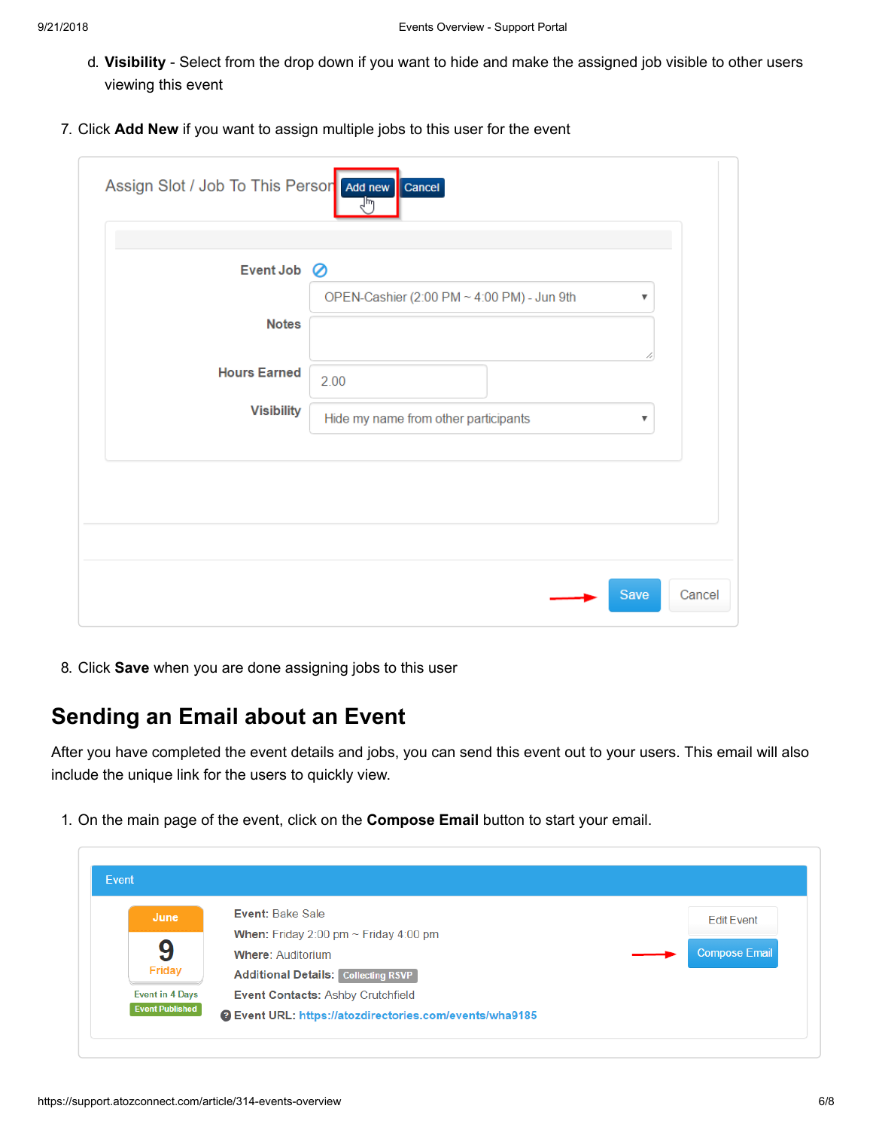- d. **Visibility**  Select from the drop down if you want to hide and make the assigned job visible to other users viewing this event
- 7. Click **Add New** if you want to assign multiple jobs to this user for the event

| Assign Slot / Job To This Person Add new Cancel | اس                                                                    |
|-------------------------------------------------|-----------------------------------------------------------------------|
| Event Job ⊘                                     |                                                                       |
|                                                 | OPEN-Cashier (2:00 PM ~ 4:00 PM) - Jun 9th<br>$\overline{\mathbf{v}}$ |
| <b>Notes</b>                                    |                                                                       |
| <b>Hours Earned</b>                             |                                                                       |
|                                                 | 2.00                                                                  |
| <b>Visibility</b>                               | Hide my name from other participants<br>$\overline{\mathbf{v}}$       |
|                                                 |                                                                       |
|                                                 |                                                                       |
|                                                 |                                                                       |
|                                                 |                                                                       |
|                                                 | Save<br>Cancel                                                        |
|                                                 |                                                                       |

8. Click **Save** when you are done assigning jobs to this user

# **Sending an Email about an Event**

After you have completed the event details and jobs, you can send this event out to your users. This email will also include the unique link for the users to quickly view.

1. On the main page of the event, click on the **Compose Email** button to start your email.

| June                   | <b>Event: Bake Sale</b>                                        | <b>Edit Event</b>    |
|------------------------|----------------------------------------------------------------|----------------------|
|                        | <b>When:</b> Friday 2:00 pm $\sim$ Friday 4:00 pm              |                      |
| 9                      | <b>Where: Auditorium</b>                                       | <b>Compose Email</b> |
| <b>Friday</b>          | <b>Additional Details: Collecting RSVP</b>                     |                      |
| <b>Event in 4 Days</b> | <b>Event Contacts: Ashby Crutchfield</b>                       |                      |
| <b>Event Published</b> | <b>@ Event URL: https://atozdirectories.com/events/wha9185</b> |                      |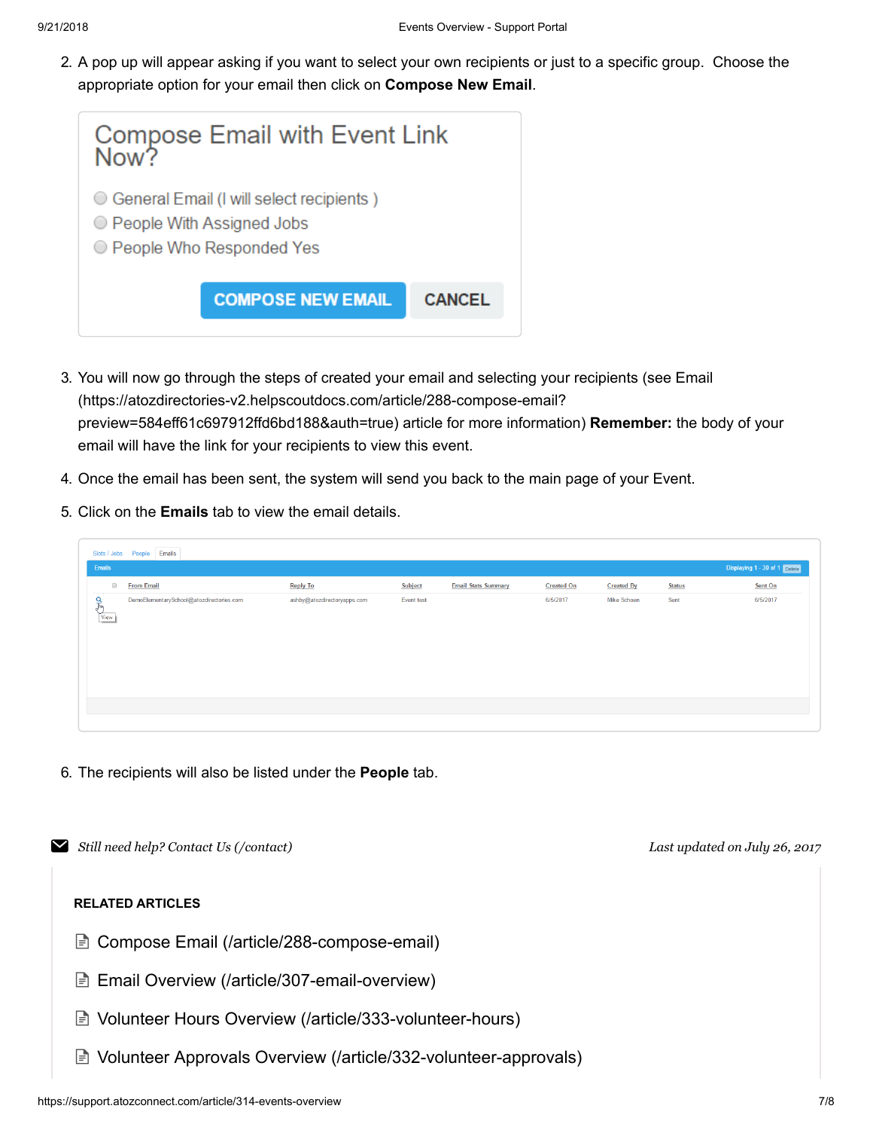2. A pop up will appear asking if you want to select your own recipients or just to a specific group. Choose the appropriate option for your email then click on **Compose New Email**.



- 3. [You will now go through the steps of created your email and selecting your recipients \(see Email](https://atozdirectories-v2.helpscoutdocs.com/article/288-compose-email?preview=584eff61c697912ffd6bd188&auth=true) (https://atozdirectories-v2.helpscoutdocs.com/article/288-compose-email? preview=584eff61c697912ffd6bd188&auth=true) article for more information) **Remember:** the body of your email will have the link for your recipients to view this event.
- 4. Once the email has been sent, the system will send you back to the main page of your Event.
- 5. Click on the **Emails** tab to view the email details.

|                            | People Emails<br>Slots / Jobs            |                             |            |                            |                   |                   |                               |          |
|----------------------------|------------------------------------------|-----------------------------|------------|----------------------------|-------------------|-------------------|-------------------------------|----------|
| Emails                     |                                          |                             |            |                            |                   |                   | Displaying 1 - 30 of 1 Delete |          |
| $\qquad \qquad \Box$       | <b>From Email</b>                        | <b>Reply To</b>             | Subject    | <b>Email Stats Summary</b> | <b>Created On</b> | <b>Created By</b> | <b>Status</b>                 | Sent On  |
| $\frac{Q}{V_{\text{few}}}$ | DemoElementarySchool@atozdirectories.com | ashby@atozdirectoryapps.com | Event test |                            | 6/5/2017          | Mike Schoen       | Sent                          | 6/5/2017 |
|                            |                                          |                             |            |                            |                   |                   |                               |          |

6. The recipients will also be listed under the **People** tab.

| Still need help? Contact Us (/contact)                                 | Last updated on July 26, 2017 |
|------------------------------------------------------------------------|-------------------------------|
| <b>RELATED ARTICLES</b>                                                |                               |
| <b>■ Compose Email (/article/288-compose-email)</b>                    |                               |
| <b>Email Overview (/article/307-email-overview)</b>                    |                               |
| Lij Volunteer Hours Overview (/article/333-volunteer-hours)            |                               |
| Volunteer Approvals Overview (/article/332-volunteer-approvals)<br>l≡1 |                               |